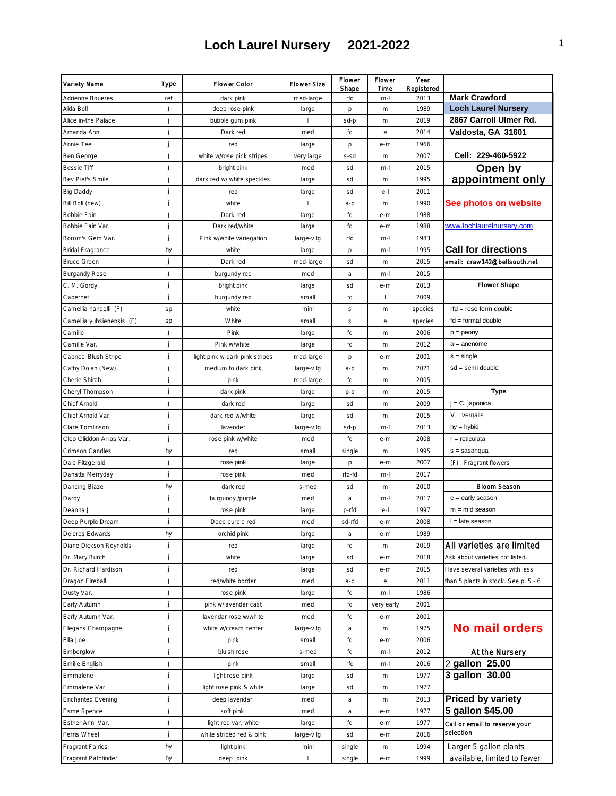| Variety Name                           | Type | Flower Color                   | <b>Flower Size</b>       | Flower<br>Shape | Flower<br>Time | Year<br>Registered |                                      |
|----------------------------------------|------|--------------------------------|--------------------------|-----------------|----------------|--------------------|--------------------------------------|
| Adrienne Boueres                       | ret  | dark pink                      | med-large                | rfd             | $m-1$          | 2013               | <b>Mark Crawford</b>                 |
| Alda Boll                              | j    | deep rose pink                 | large                    | р               | m              | 1989               | <b>Loch Laurel Nursery</b>           |
| Alice in-the Palace                    | j    | bubble gum pink                | $\mathbf{I}$             | sd-p            | m              | 2019               | 2867 Carroll Ulmer Rd.               |
| Amanda Ann                             | j    | Dark red                       | med                      | fd              | $\rm e$        | 2014               | Valdosta, GA 31601                   |
| Annie Tee                              | j    | red                            | large                    | p               | e-m            | 1966               |                                      |
| Ben George                             | j    | white w/rose pink stripes      | very large               | s-sd            | m              | 2007               | Cell: 229-460-5922                   |
| <b>Bessie Tiff</b>                     | İ    | bright pink                    | med                      | sd              | m-l            | 2015               | Open by                              |
| Bev Piet's Smile                       | İ    | dark red w/ white speckles     | large                    | sd              | m              | 1995               | appointment only                     |
| Big Daddy                              | j    | red                            | large                    | sd              | $e-$           | 2011               |                                      |
| Bill Boll (new)                        | j    | white                          | $\overline{\phantom{a}}$ | $a-p$           | m              | 1990               | See photos on website                |
| Bobbie Fain                            | j    | Dark red                       | large                    | fd              | e-m            | 1988               |                                      |
| Bobbie Fain Var.                       | j    | Dark red/white                 | large                    | fd              | e-m            | 1988               | www.lochlaurelnursery.com            |
| Borom's Gem Var.                       | j    | Pink w/white variegation       | large-v lg               | rfd             | m-l            | 1983               |                                      |
| Bridal Fragrance                       | hy   | white                          | large                    | p               | m-l            | 1995               | <b>Call for directions</b>           |
| <b>Bruce Green</b>                     | j    | Dark red                       | med-large                | sd              | m              | 2015               | email: craw142@bellsouth.net         |
| <b>Burgandy Rose</b>                   | j    | burgundy red                   | med                      | a               | m-l            | 2015               |                                      |
| C. M. Gordy                            | j    | bright pink                    | large                    | sd              | e-m            | 2013               | <b>Flower Shape</b>                  |
| Cabernet                               | j    | burgundy red                   | small                    | fd              |                | 2009               |                                      |
| Camellia handelli (F)                  | sp   | white                          | mini                     | S               | m              | species            | rfd = rose form double               |
| Camellia yuhsienensis (F)              | sp   | White                          | small                    | S               | е              | species            | $fd = formula$ double                |
| Camille                                | Ĵ    | Pink                           | large                    | fd              | m              | 2006               | $p =$ peony                          |
| Camille Var.                           | j    | Pink w/white                   | large                    | fd              | m              | 2012               | $a =$ anenome                        |
| Capricci Blush Stripe                  | İ    | light pink w dark pink stripes | med-large                | p               | e-m            | 2001               | $s = single$                         |
| Cathy Dolan (New)                      |      | medium to dark pink            | large-v lg               | a-p             | m              | 2021               | sd = semi double                     |
| Cherie Shirah                          |      | pink                           | med-large                | fd              | m              | 2005               |                                      |
| Cheryl Thompson                        | j    | dark pink                      | large                    | p-a             | m              | 2015               | Type                                 |
| Chief Arnold                           | İ    | dark red                       | large                    | sd              | m              | 2009               | $j = C$ . japonica                   |
| Chief Arnold Var                       | j    | dark red w/white               | large                    | sd              | m              | 2015               | $V = vernalis$                       |
| Clare Tomlinson                        | İ    | lavender                       | large-v Ig               | sd-p            | m-l            | 2013               | $hy = hybid$                         |
| Cleo Gliddon Arras Var.                | j    | rose pink w/white              | med                      | fd              | e-m            | 2008               | $r =$ reticulata                     |
| Crimson Candles                        | hy   | red                            | small                    | single          | m              | 1995               | $s =$ sasanqua                       |
| Dale Fitzgerald                        | j    | rose pink                      | large                    | p               | e-m            | 2007               | (F) Fragrant flowers                 |
| Danatta Merryday                       | j    | rose pink                      | med                      | rfd-fd          | m-l            | 2017               |                                      |
| Dancing Blaze                          | hy   | dark red                       | s-med                    | sd              | $\,$ m $\,$    | 2010               | Bloom Season                         |
| Darby                                  | j    | burgundy /purple               | med                      | a               | m-l            | 2017               | $e =$ early season                   |
| Deanna J                               | j    | rose pink                      |                          | p-rfd           | $e-1$          | 1997               | $m = mid season$                     |
| Deep Purple Dream                      |      |                                | large<br>med             | sd-rfd          | e-m            | 2008               | $l =$ late season                    |
| Delores Edwards                        | hy   | Deep purple red<br>orchid pink | large                    | a               | e-m            | 1989               |                                      |
| Diane Dickson Reynolds                 | j    | red                            |                          | fd              |                | 2019               | All varieties are limited            |
|                                        | j    | white                          | large                    |                 | m              | 2018               | Ask about varieties not listed       |
| Dr. Mary Burch<br>Dr. Richard Hardison |      | red                            | large                    | sd              | e-m            | 2015               | Have several varieties with less     |
| Dragon Fireball                        | j    |                                | large                    | sd              | e-m            |                    |                                      |
|                                        | j    | red/white border               | med                      | a-p             | е              | 2011               | than 5 plants in stock. See p. 5 - 6 |
| Dusty Var.                             | j    | rose pink                      | large                    | fd              | m-l            | 1986               |                                      |
| Early Autumn                           | j    | pink w/lavendar cast           | med                      | fd              | very early     | 2001               |                                      |
| Early Autumn Var.                      | j    | lavendar rose w/white          | med                      | fd              | e-m            | 2001               | <b>No mail orders</b>                |
| Elegans Champagne                      | j    | white w/cream center           | large-v lg               | a               | m              | 1975               |                                      |
| Ella Joe                               | j    | pink                           | small                    | fd              | e-m            | 2006               |                                      |
| Emberglow                              | j    | bluish rose                    | s-med                    | fd              | m-l            | 2012               | At the Nursery                       |
| Emilie English                         | İ    | pink                           | small                    | rfd             | m-l            | 2016               | 2 gallon 25.00                       |
| Emmalene                               | j    | light rose pink                | large                    | sd              | m              | 1977               | 3 gallon 30.00                       |
| Emmalene Var.                          | j    | light rose pink & white        | large                    | sd              | m              | 1977               |                                      |
| <b>Enchanted Evening</b>               | j    | deep lavendar                  | med                      | a               | m              | 2013               | <b>Priced by variety</b>             |
| Esme Spence                            | İ    | soft pink                      | med                      | a               | e-m            | 1977               | 5 gallon \$45.00                     |
| Esther Ann Var.                        | j    | light red var. white           | large                    | fd              | e-m            | 1977               | Call or email to reserve your        |
| Ferris Wheel                           | j    | white striped red & pink       | large-v lg               | sd              | e-m            | 2016               | selection                            |
| <b>Fragrant Fairies</b>                | hy   | light pink                     | mini                     | single          | m              | 1994               | Larger 5 gallon plants               |
| Fragrant Pathfinder                    | hy   | deep pink                      | п                        | single          | e-m            | 1999               | available, limited to fewer          |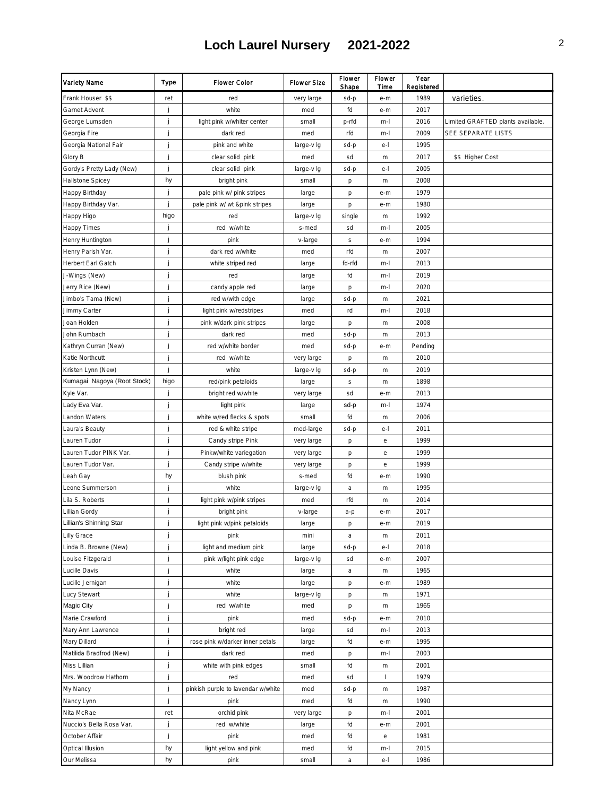| Variety Name                             | Type | Flower Color                                 | Flower Size         | Flower<br>Shape | Flower<br>Time   | Year<br>Registered |                                   |
|------------------------------------------|------|----------------------------------------------|---------------------|-----------------|------------------|--------------------|-----------------------------------|
| Frank Houser \$\$                        | ret  | red                                          | very large          | sd-p            | e-m              | 1989               | varieties.                        |
| Garnet Advent                            | j    | white                                        | med                 | fd              | e-m              | 2017               |                                   |
| George Lumsden                           | j    | light pink w/whiter center                   | small               | p-rfd           | m-l              | 2016               | Limited GRAFTED plants available. |
| Georgia Fire                             | j    | dark red                                     | med                 | rfd             | m-l              | 2009               | SEE SEPARATE LISTS                |
| Georgia National Fair                    | j    | pink and white                               | large-v Ig          | sd-p            | $e-1$            | 1995               |                                   |
| Glory B                                  | j    | clear solid pink                             | med                 | sd              | m                | 2017               | \$\$ Higher Cost                  |
| Gordy's Pretty Lady (New)                | j    | clear solid pink                             | large-v lg          | sd-p            | $e-1$            | 2005               |                                   |
| Hallstone Spicey                         | hy   | bright pink                                  | small               | р               | m                | 2008               |                                   |
| Happy Birthday                           | j    | pale pink w/ pink stripes                    | large               | р               | e-m              | 1979               |                                   |
| Happy Birthday Var.                      | j    | pale pink w/ wt &pink stripes                | large               | p               | e-m              | 1980               |                                   |
| Happy Higo                               | higo | red                                          | large-v lg          | single          | $\,$ m $\,$      | 1992               |                                   |
| <b>Happy Times</b>                       | j    | red w/white                                  | s-med               | sd              | m-l              | 2005               |                                   |
| Henry Huntington                         | j    | pink                                         | v-large             | S               | e-m              | 1994               |                                   |
| Henry Parish Var.                        | j    | dark red w/white                             | med                 | rfd             | m                | 2007               |                                   |
| Herbert Earl Gatch                       | j    | white striped red                            | large               | fd-rfd          | m-l              | 2013               |                                   |
| J-Wings (New)                            | j    | red                                          | large               | fd              | m-l              | 2019               |                                   |
| Jerry Rice (New)                         | İ    | candy apple red                              | large               | p               | m-l              | 2020               |                                   |
| Jimbo's Tama (New)                       | j    | red w/with edge                              | large               | sd-p            | m                | 2021               |                                   |
| Jimmy Carter                             | j    | light pink w/redstripes                      | med                 | rd              | m-l              | 2018               |                                   |
| Joan Holden                              | j    | pink w/dark pink stripes                     | large               | p               | $\,$ m $\,$      | 2008               |                                   |
| John Rumbach                             | j    | dark red                                     | med                 | sd-p            | m                | 2013               |                                   |
| Kathryn Curran (New)                     | j    | red w/white border                           | med                 | sd-p            | e-m              | Pending            |                                   |
| Katie Northcutt                          | j    | red w/white                                  | very large          | p               | m                | 2010               |                                   |
| Kristen Lynn (New)                       | j    | white                                        | large-v lg          | sd-p            | m                | 2019               |                                   |
| Kumagai Nagoya (Root Stock)              | higo | red/pink petaloids                           | large               | S               | m                | 1898               |                                   |
| Kyle Var.                                | j    | bright red w/white                           | very large          | sd              | e-m              | 2013               |                                   |
| Lady Eva Var.                            | j    | light pink                                   | large               | sd-p            | m-l              | 1974               |                                   |
| Landon Waters                            | j    | white w/red flecks & spots                   | small               | fd              | m                | 2006               |                                   |
| Laura's Beauty                           | j    | red & white stripe                           | med-large           | sd-p            | $e-$             | 2011               |                                   |
| Lauren Tudor                             | j    |                                              |                     |                 |                  | 1999               |                                   |
| Lauren Tudor PINK Var.                   | j    | Candy stripe Pink<br>Pinkw/white variegation | very large          | р               | $\rm e$<br>е     | 1999               |                                   |
| Lauren Tudor Var.                        | j    | Candy stripe w/white                         | very large          | р               | е                | 1999               |                                   |
| Leah Gay                                 | hy   | blush pink                                   | very large<br>s-med | р<br>fd         | e-m              | 1990               |                                   |
| Leone Summerson                          | j    | white                                        | large-v lg          | a               |                  | 1995               |                                   |
| Lila S. Roberts                          | j    | light pink w/pink stripes                    | med                 | rfd             | m<br>$\,$ m $\,$ | 2014               |                                   |
|                                          | j    |                                              |                     |                 |                  |                    |                                   |
| Lillian Gordy<br>Lillian's Shinning Star | j    | bright pink                                  | v-large             | a-p             | e-m              | 2017               |                                   |
| <b>Lilly Grace</b>                       | j    | light pink w/pink petaloids<br>pink          | large<br>mini       | р<br>a          | e-m              | 2019<br>2011       |                                   |
| Linda B. Browne (New)                    |      | light and medium pink                        |                     |                 | m                | 2018               |                                   |
| Louise Fitzgerald                        | j    | pink w/light pink edge                       | large               | sd-p<br>sd      | $e-1$            | 2007               |                                   |
| Lucille Davis                            | j    |                                              | large-v Ig          |                 | e-m              | 1965               |                                   |
| Lucille Jernigan                         | j    | white<br>white                               | large<br>large      | a<br>p          | m<br>e-m         | 1989               |                                   |
| Lucy Stewart                             | j    | white                                        | large-v Ig          | p               | m                | 1971               |                                   |
| <b>Magic City</b>                        | İ    | red w/white                                  | med                 | р               | ${\sf m}$        | 1965               |                                   |
| Marie Crawford                           | İ    |                                              |                     |                 |                  | 2010               |                                   |
| Mary Ann Lawrence                        | j    | pink<br>bright red                           | med<br>large        | sd-p<br>sd      | e-m<br>m-l       | 2013               |                                   |
| Mary Dillard                             | j    | rose pink w/darker inner petals              |                     | fd              |                  | 1995               |                                   |
|                                          | j    | dark red                                     | large               |                 | e-m              | 2003               |                                   |
| Matilida Bradfrod (New)<br>Miss Lillian  |      |                                              | med                 | р               | m-l              |                    |                                   |
|                                          | j    | white with pink edges                        | small               | fd              | m<br>т           | 2001               |                                   |
| Mrs. Woodrow Hathorn                     | j    | red                                          | med                 | sd              |                  | 1979               |                                   |
| My Nancy                                 | j    | pinkish purple to lavendar w/white           | med                 | sd-p            | $\,$ m $\,$      | 1987               |                                   |
| Nancy Lynn                               | j    | pink                                         | med                 | fd              | m                | 1990               |                                   |
| Nita McRae                               | ret  | orchid pink                                  | very large          | p               | m-l              | 2001               |                                   |
| Nuccio's Bella Rosa Var.                 | j    | red w/white                                  | large               | fd              | e-m              | 2001               |                                   |
| October Affair                           | j    | pink                                         | med                 | fd              | е                | 1981               |                                   |
| Optical Illusion                         | hy   | light yellow and pink                        | med                 | fd              | m-l              | 2015               |                                   |
| Our Melissa                              | hy   | pink                                         | small               | a               | $e-1$            | 1986               |                                   |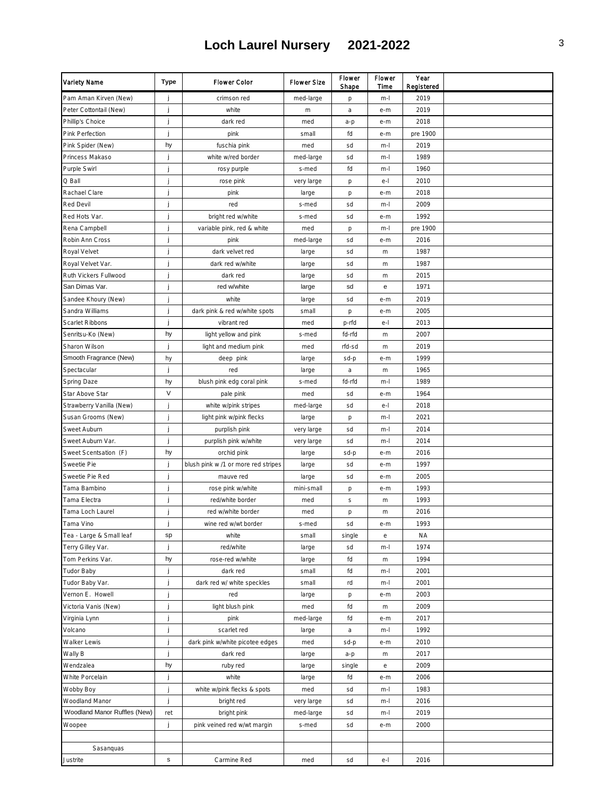| Variety Name                 | Type            | Flower Color                        | <b>Flower Size</b> | Flower<br>Shape | Flower<br>Time | Year<br>Registered |  |
|------------------------------|-----------------|-------------------------------------|--------------------|-----------------|----------------|--------------------|--|
| Pam Aman Kirven (New)        | j               | crimson red                         | med-large          | р               | m-l            | 2019               |  |
| Peter Cottontail (New)       | j               | white                               | m                  | a               | e-m            | 2019               |  |
| Phillip's Choice             | j               | dark red                            | med                | a-p             | e-m            | 2018               |  |
| Pink Perfection              | j               | pink                                | small              | fd              | e-m            | pre 1900           |  |
| Pink Spider (New)            | hy              | fuschia pink                        | med                | sd              | m-l            | 2019               |  |
| Princess Makaso              | j               | white w/red border                  | med-large          | sd              | m-l            | 1989               |  |
| Purple Swirl                 | j               | rosy purple                         | s-med              | fd              | m-l            | 1960               |  |
| Q Ball                       |                 | rose pink                           | very large         | p               | $e-$           | 2010               |  |
| Rachael Clare                | j               | pink                                | large              | p               | e-m            | 2018               |  |
| Red Devil                    | j               | red                                 | s-med              | sd              | m-l            | 2009               |  |
| Red Hots Var.                | j               | bright red w/white                  | s-med              | sd              | e-m            | 1992               |  |
| Rena Campbell                | j               | variable pink, red & white          | med                | p               | m-l            | pre 1900           |  |
| Robin Ann Cross              | j               | pink                                | med-large          | sd              | e-m            | 2016               |  |
| Royal Velvet                 | j               | dark velvet red                     | large              | sd              | m              | 1987               |  |
| Royal Velvet Var.            | j               | dark red w/white                    | large              | sd              | m              | 1987               |  |
| Ruth Vickers Fullwood        | j               | dark red                            | large              | sd              | m              | 2015               |  |
| San Dimas Var.               | j               | red w/white                         | large              | sd              | e              | 1971               |  |
| Sandee Khoury (New)          |                 | white                               | large              | sd              | e-m            | 2019               |  |
| Sandra Williams              | j               | dark pink & red w/white spots       | small              | p               | e-m            | 2005               |  |
| Scarlet Ribbons              | j               | vibrant red                         | med                | p-rfd           | $e-1$          | 2013               |  |
| Senritsu-Ko (New)            | hy              | light yellow and pink               | s-med              | fd-rfd          | m              | 2007               |  |
| Sharon Wilson                | j               | light and medium pink               | med                | rfd-sd          | m              | 2019               |  |
| Smooth Fragrance (New)       | hy              | deep pink                           | large              | sd-p            | e-m            | 1999               |  |
| Spectacular                  | j               | red                                 | large              | a               | m              | 1965               |  |
| Spring Daze                  | hy              | blush pink edg coral pink           | s-med              | fd-rfd          | m-l            | 1989               |  |
| Star Above Star              | $\sf V$         | pale pink                           | med                | sd              | e-m            | 1964               |  |
| Strawberry Vanilla (New)     | j               | white w/pink stripes                | med-large          | sd              | $e-$           | 2018               |  |
| Susan Grooms (New)           | j               | light pink w/pink flecks            | large              | p               | m-l            | 2021               |  |
| Sweet Auburn                 | j               | purplish pink                       | very large         | sd              | m-l            | 2014               |  |
| Sweet Auburn Var.            | j               | purplish pink w/white               | very large         | sd              | m-l            | 2014               |  |
| Sweet Scentsation (F)        | hy              | orchid pink                         | large              | sd-p            | e-m            | 2016               |  |
| Sweetie Pie                  | j               | blush pink w /1 or more red stripes | large              | sd              | e-m            | 1997               |  |
| Sweetie Pie Red              | j               | mauve red                           | large              | sd              | e-m            | 2005               |  |
| Tama Bambino                 | j               | rose pink w/white                   | mini-small         | p               | e-m            | 1993               |  |
| Tama Electra                 | j               | red/white border                    | med                | $\mathbb S$     | m              | 1993               |  |
| Tama Loch Laurel             | j               | red w/white border                  | med                | p               | $\,$ m $\,$    | 2016               |  |
| Tama Vino                    | j               | wine red w/wt border                | s-med              | sd              | e-m            | 1993               |  |
| Tea - Large & Small leaf     | sp              | white                               | small              | single          | $\rm e$        | ΝA                 |  |
| Terry Gilley Var.            | j               | red/white                           | large              | sd              | m-l            | 1974               |  |
| Tom Perkins Var.             | hy              | rose-red w/white                    | large              | fd              | m              | 1994               |  |
| Tudor Baby                   | j               | dark red                            | small              | fd              | m-l            | 2001               |  |
| Tudor Baby Var.              | j               | dark red w/ white speckles          | small              | rd              | m-l            | 2001               |  |
| Vernon E. Howell             | j               | red                                 | large              | p               | e-m            | 2003               |  |
| Victoria Vanis (New)         | j               | light blush pink                    | med                | fd              | m              | 2009               |  |
| Virginia Lynn                | j               | pink                                | med-large          | fd              | e-m            | 2017               |  |
| Volcano                      | j               | scarlet red                         | large              | a               | m-l            | 1992               |  |
| Walker Lewis                 | j               | dark pink w/white picotee edges     | med                | sd-p            | e-m            | 2010               |  |
| Wally B                      | j               | dark red                            | large              | a-p             | m              | 2017               |  |
| Wendzalea                    | hy              | ruby red                            | large              | single          | $\rm e$        | 2009               |  |
| White Porcelain              | j               | white                               | large              | fd              | e-m            | 2006               |  |
| Wobby Boy                    | j               | white w/pink flecks & spots         | med                | sd              | m-l            | 1983               |  |
| Woodland Manor               | j               | bright red                          | very large         | sd              | m-l            | 2016               |  |
| Woodland Manor Ruffles (New) | ret             | bright pink                         | med-large          | sd              | m-l            | 2019               |  |
| Woopee                       | j               | pink veined red w/wt margin         | s-med              | sd              | e-m            | 2000               |  |
|                              |                 |                                     |                    |                 |                |                    |  |
| Sasanquas                    |                 |                                     |                    |                 |                |                    |  |
| Justrite                     | $\mathbbmss{S}$ | Carmine Red                         | med                | sd              | e-l            | 2016               |  |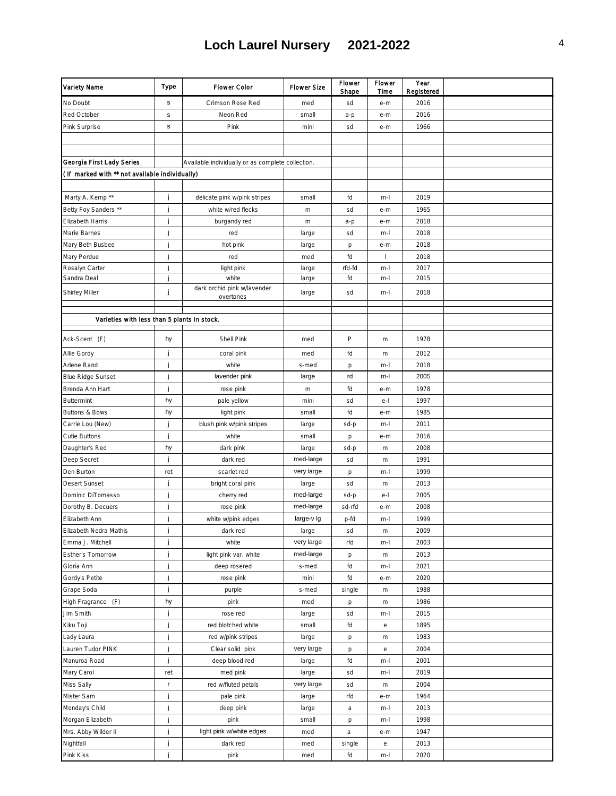| Variety Name                                   | <b>Type</b>     | Flower Color                                      | <b>Flower Size</b> | Flower<br>Shape | Flower<br>Time | Year<br>Registered |  |
|------------------------------------------------|-----------------|---------------------------------------------------|--------------------|-----------------|----------------|--------------------|--|
| No Doubt                                       | $\mathbb S$     | Crimson Rose Red                                  | med                | sd              | e-m            | 2016               |  |
| Red October                                    | $\mathbbmss{S}$ | Neon Red                                          | small              | a-p             | e-m            | 2016               |  |
| Pink Surprise                                  | $\mathbbmss{S}$ | Pink                                              | mini               | sd              | e-m            | 1966               |  |
|                                                |                 |                                                   |                    |                 |                |                    |  |
|                                                |                 |                                                   |                    |                 |                |                    |  |
| Georgia First Lady Series                      |                 | Available individually or as complete collection. |                    |                 |                |                    |  |
| (If marked with ** not available individually) |                 |                                                   |                    |                 |                |                    |  |
|                                                |                 |                                                   |                    |                 |                |                    |  |
| Marty A. Kemp **                               | j               | delicate pink w/pink stripes                      | small              | fd              | $m-1$          | 2019               |  |
| Betty Foy Sanders **                           | j               | white w/red flecks                                | $\,$ m $\,$        | sd              | e-m            | 1965               |  |
| Elizabeth Harris                               | j               | burgandy red                                      | $\,$ m $\,$        | a-p             | e-m            | 2018               |  |
| Marie Barnes                                   | j               | red                                               | large              | sd              | $m-1$          | 2018               |  |
| Mary Beth Busbee                               | j               | hot pink                                          | large              | p               | e-m            | 2018               |  |
| Mary Perdue                                    | j               | red                                               | med                | fd              | 1              | 2018               |  |
| Rosalyn Carter                                 | j               | light pink                                        | large              | rfd-fd          | $m-1$          | 2017               |  |
| Sandra Deal                                    | j               | white                                             | large              | fd              | $m-1$          | 2015               |  |
| Shirley Miller                                 | j               | dark orchid pink w/lavender<br>overtones          | large              | sd              | m-l            | 2018               |  |
|                                                |                 |                                                   |                    |                 |                |                    |  |
| Varieties with less than 5 plants in stock.    |                 |                                                   |                    |                 |                |                    |  |
|                                                |                 |                                                   |                    |                 |                |                    |  |
| Ack-Scent (F)                                  | hy              | Shell Pink                                        | med                | P               | m              | 1978               |  |
| Allie Gordy                                    | j               | coral pink                                        | med                | fd              | $\,$ m $\,$    | 2012               |  |
| Arlene Rand                                    | j               | white                                             | s-med              | p               | $m-1$          | 2018               |  |
| <b>Blue Ridge Sunset</b>                       | j               | lavender pink                                     | large              | rd              | m-l            | 2005               |  |
| Brenda Ann Hart                                | j               | rose pink                                         | $\,$ m $\,$        | fd              | e-m            | 1978               |  |
| <b>Buttermint</b>                              | hy              | pale yellow                                       | mini               | sd              | e-l            | 1997               |  |
| Buttons & Bows                                 | hy              | light pink                                        | small              | fd              | e-m            | 1985               |  |
| Carrie Lou (New)                               | j               | blush pink w/pink stripes                         | large              | sd-p            | $m-1$          | 2011               |  |
| Cutie Buttons                                  | j               | white                                             | small              | p               | e-m            | 2016               |  |
| Daughter's Red                                 | hy              | dark pink                                         | large              | sd-p            | $\,$ m $\,$    | 2008               |  |
| Deep Secret                                    | j               | dark red                                          | med-large          | sd              | m              | 1991               |  |
| Den Burton                                     | ret             | scarlet red                                       | very large         | p               | $m-1$          | 1999               |  |
| Desert Sunset                                  | j               | bright coral pink                                 | large              | sd              | $\,$ m $\,$    | 2013               |  |
| Dominic DiTomasso                              | j               | cherry red                                        | med-large          | sd-p            | e-l            | 2005               |  |
| Dorothy B. Decuers                             | j               | rose pink                                         | med-large          | sd-rfd          | e-m            | 2008               |  |
| Elizabeth Ann                                  | j               | white w/pink edges                                | large-v lg         | p-fd            | $m-1$          | 1999               |  |
| Elizabeth Nedra Mathis                         | Ĵ               | dark red                                          | large              | sd              | m              | 2009               |  |
| Emma J. Mitchell                               | j               | white                                             | very large         | rfd             | $m-1$          | 2003               |  |
| Esther's Tomorrow                              | j               | light pink var. white                             | med-large          | р               | $\,$ m $\,$    | 2013               |  |
| Gloria Ann                                     | j               | deep rosered                                      | s-med              | fd              | $m-1$          | 2021               |  |
| Gordy's Petite                                 | j               | rose pink                                         | mini               | fd              | e-m            | 2020               |  |
| Grape Soda                                     | j               | purple                                            | s-med              | single          | m              | 1988               |  |
| High Fragrance (F)                             | hy              | pink                                              | med                | p               | $\,$ m $\,$    | 1986               |  |
| Jim Smith                                      | j               | rose red                                          | large              | sd              | $m-1$          | 2015               |  |
| Kiku Toji                                      | j               | red blotched white                                | small              | fd              | е              | 1895               |  |
| Lady Laura                                     | j               | red w/pink stripes                                | large              | р               | m              | 1983               |  |
| Lauren Tudor PINK                              | j               | Clear solid pink                                  | very large         | p               | е              | 2004               |  |
| Manuroa Road                                   | j               | deep blood red                                    | large              | fd              | $m-1$          | 2001               |  |
| Mary Carol                                     | ret             | med pink                                          | large              | sd              | $m-1$          | 2019               |  |
| Miss Sally                                     | $\mathbf r$     | red w/fluted petals                               | very large         | sd              | $\,$ m $\,$    | 2004               |  |
| Mister Sam                                     | j               | pale pink                                         | large              | rfd             | e-m            | 1964               |  |
| Monday's Child                                 | j               | deep pink                                         | large              | a               | m-l            | 2013               |  |
| Morgan Elizabeth                               | j               | pink                                              | small              | р               | $m-1$          | 1998               |  |
| Mrs. Abby Wilder II                            | j               | light pink w/white edges                          | med                | a               | e-m            | 1947               |  |
| Nightfall                                      | j               | dark red                                          | med                | single          | е              | 2013               |  |
| Pink Kiss                                      | j               | pink                                              | med                | fd              | $m-1$          | 2020               |  |